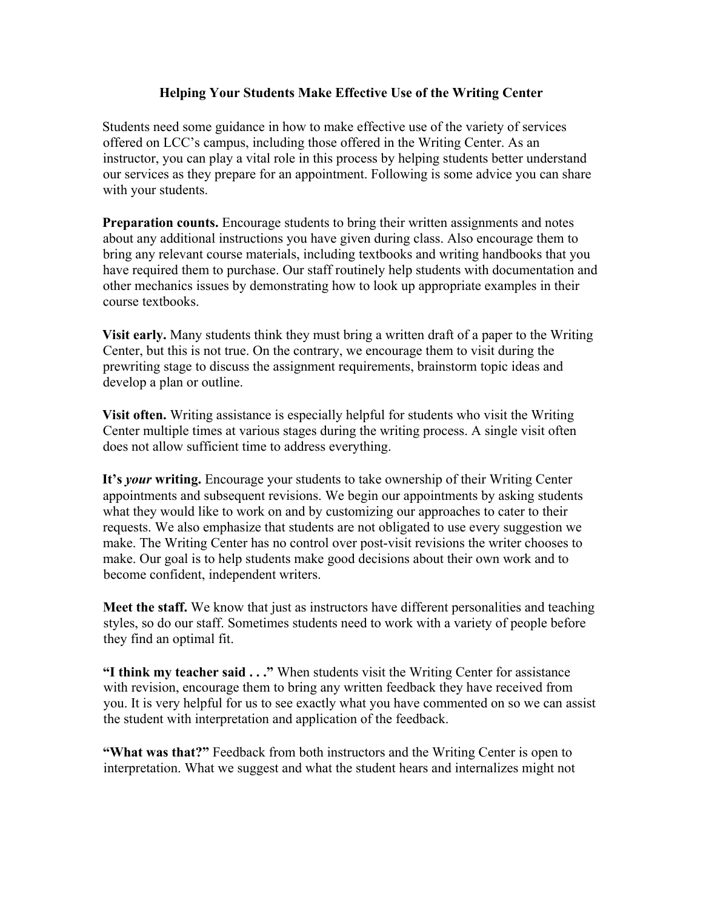## **Helping Your Students Make Effective Use of the Writing Center**

Students need some guidance in how to make effective use of the variety of services offered on LCC's campus, including those offered in the Writing Center. As an instructor, you can play a vital role in this process by helping students better understand our services as they prepare for an appointment. Following is some advice you can share with your students.

**Preparation counts.** Encourage students to bring their written assignments and notes about any additional instructions you have given during class. Also encourage them to bring any relevant course materials, including textbooks and writing handbooks that you have required them to purchase. Our staff routinely help students with documentation and other mechanics issues by demonstrating how to look up appropriate examples in their course textbooks.

**Visit early.** Many students think they must bring a written draft of a paper to the Writing Center, but this is not true. On the contrary, we encourage them to visit during the prewriting stage to discuss the assignment requirements, brainstorm topic ideas and develop a plan or outline.

**Visit often.** Writing assistance is especially helpful for students who visit the Writing Center multiple times at various stages during the writing process. A single visit often does not allow sufficient time to address everything.

**It's** *your* **writing.** Encourage your students to take ownership of their Writing Center appointments and subsequent revisions. We begin our appointments by asking students what they would like to work on and by customizing our approaches to cater to their requests. We also emphasize that students are not obligated to use every suggestion we make. The Writing Center has no control over post-visit revisions the writer chooses to make. Our goal is to help students make good decisions about their own work and to become confident, independent writers.

**Meet the staff.** We know that just as instructors have different personalities and teaching styles, so do our staff. Sometimes students need to work with a variety of people before they find an optimal fit.

**"I think my teacher said . . ."** When students visit the Writing Center for assistance with revision, encourage them to bring any written feedback they have received from you. It is very helpful for us to see exactly what you have commented on so we can assist the student with interpretation and application of the feedback.

**"What was that?"** Feedback from both instructors and the Writing Center is open to interpretation. What we suggest and what the student hears and internalizes might not